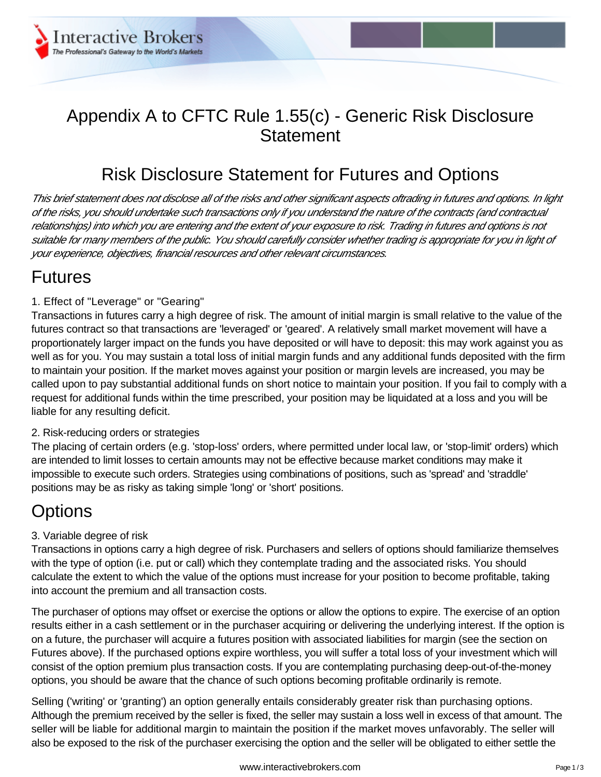

## Appendix A to CFTC Rule 1.55(c) - Generic Risk Disclosure **Statement**

## Risk Disclosure Statement for Futures and Options

This brief statement does not disclose all of the risks and other significant aspects oftrading in futures and options. In light of the risks, you should undertake such transactions only if you understand the nature of the contracts (and contractual relationships) into which you are entering and the extent of your exposure to risk. Trading in futures and options is not suitable for many members of the public. You should carefully consider whether trading is appropriate for you in light of your experience, objectives, financial resources and other relevant circumstances.

### Futures

### 1. Effect of "Leverage" or "Gearing"

Transactions in futures carry a high degree of risk. The amount of initial margin is small relative to the value of the futures contract so that transactions are 'leveraged' or 'geared'. A relatively small market movement will have a proportionately larger impact on the funds you have deposited or will have to deposit: this may work against you as well as for you. You may sustain a total loss of initial margin funds and any additional funds deposited with the firm to maintain your position. If the market moves against your position or margin levels are increased, you may be called upon to pay substantial additional funds on short notice to maintain your position. If you fail to comply with a request for additional funds within the time prescribed, your position may be liquidated at a loss and you will be liable for any resulting deficit.

#### 2. Risk-reducing orders or strategies

The placing of certain orders (e.g. 'stop-loss' orders, where permitted under local law, or 'stop-limit' orders) which are intended to limit losses to certain amounts may not be effective because market conditions may make it impossible to execute such orders. Strategies using combinations of positions, such as 'spread' and 'straddle' positions may be as risky as taking simple 'long' or 'short' positions.

## **Options**

### 3. Variable degree of risk

Transactions in options carry a high degree of risk. Purchasers and sellers of options should familiarize themselves with the type of option (i.e. put or call) which they contemplate trading and the associated risks. You should calculate the extent to which the value of the options must increase for your position to become profitable, taking into account the premium and all transaction costs.

The purchaser of options may offset or exercise the options or allow the options to expire. The exercise of an option results either in a cash settlement or in the purchaser acquiring or delivering the underlying interest. If the option is on a future, the purchaser will acquire a futures position with associated liabilities for margin (see the section on Futures above). If the purchased options expire worthless, you will suffer a total loss of your investment which will consist of the option premium plus transaction costs. If you are contemplating purchasing deep-out-of-the-money options, you should be aware that the chance of such options becoming profitable ordinarily is remote.

Selling ('writing' or 'granting') an option generally entails considerably greater risk than purchasing options. Although the premium received by the seller is fixed, the seller may sustain a loss well in excess of that amount. The seller will be liable for additional margin to maintain the position if the market moves unfavorably. The seller will also be exposed to the risk of the purchaser exercising the option and the seller will be obligated to either settle the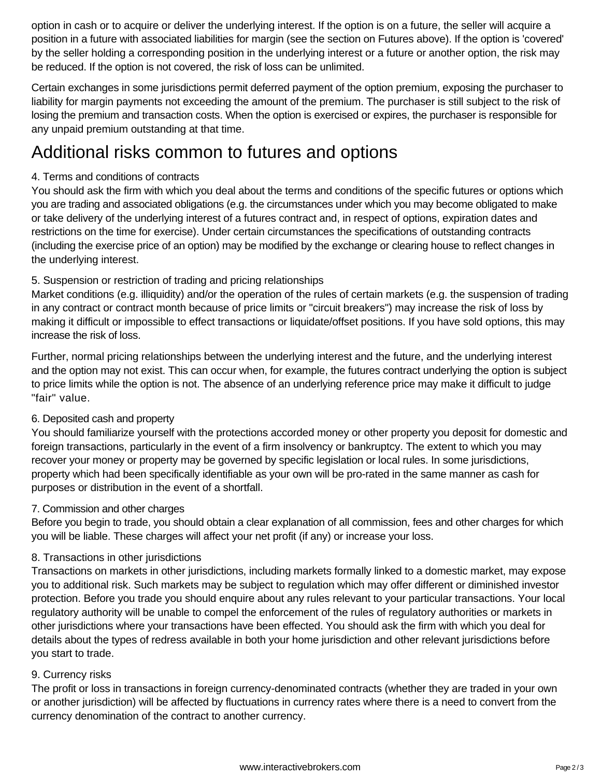option in cash or to acquire or deliver the underlying interest. If the option is on a future, the seller will acquire a position in a future with associated liabilities for margin (see the section on Futures above). If the option is 'covered' by the seller holding a corresponding position in the underlying interest or a future or another option, the risk may be reduced. If the option is not covered, the risk of loss can be unlimited.

Certain exchanges in some jurisdictions permit deferred payment of the option premium, exposing the purchaser to liability for margin payments not exceeding the amount of the premium. The purchaser is still subject to the risk of losing the premium and transaction costs. When the option is exercised or expires, the purchaser is responsible for any unpaid premium outstanding at that time.

# Additional risks common to futures and options

### 4. Terms and conditions of contracts

You should ask the firm with which you deal about the terms and conditions of the specific futures or options which you are trading and associated obligations (e.g. the circumstances under which you may become obligated to make or take delivery of the underlying interest of a futures contract and, in respect of options, expiration dates and restrictions on the time for exercise). Under certain circumstances the specifications of outstanding contracts (including the exercise price of an option) may be modified by the exchange or clearing house to reflect changes in the underlying interest.

### 5. Suspension or restriction of trading and pricing relationships

Market conditions (e.g. illiquidity) and/or the operation of the rules of certain markets (e.g. the suspension of trading in any contract or contract month because of price limits or "circuit breakers") may increase the risk of loss by making it difficult or impossible to effect transactions or liquidate/offset positions. If you have sold options, this may increase the risk of loss.

Further, normal pricing relationships between the underlying interest and the future, and the underlying interest and the option may not exist. This can occur when, for example, the futures contract underlying the option is subject to price limits while the option is not. The absence of an underlying reference price may make it difficult to judge "fair" value.

### 6. Deposited cash and property

You should familiarize yourself with the protections accorded money or other property you deposit for domestic and foreign transactions, particularly in the event of a firm insolvency or bankruptcy. The extent to which you may recover your money or property may be governed by specific legislation or local rules. In some jurisdictions, property which had been specifically identifiable as your own will be pro-rated in the same manner as cash for purposes or distribution in the event of a shortfall.

### 7. Commission and other charges

Before you begin to trade, you should obtain a clear explanation of all commission, fees and other charges for which you will be liable. These charges will affect your net profit (if any) or increase your loss.

### 8. Transactions in other jurisdictions

Transactions on markets in other jurisdictions, including markets formally linked to a domestic market, may expose you to additional risk. Such markets may be subject to regulation which may offer different or diminished investor protection. Before you trade you should enquire about any rules relevant to your particular transactions. Your local regulatory authority will be unable to compel the enforcement of the rules of regulatory authorities or markets in other jurisdictions where your transactions have been effected. You should ask the firm with which you deal for details about the types of redress available in both your home jurisdiction and other relevant jurisdictions before you start to trade.

### 9. Currency risks

The profit or loss in transactions in foreign currency-denominated contracts (whether they are traded in your own or another jurisdiction) will be affected by fluctuations in currency rates where there is a need to convert from the currency denomination of the contract to another currency.